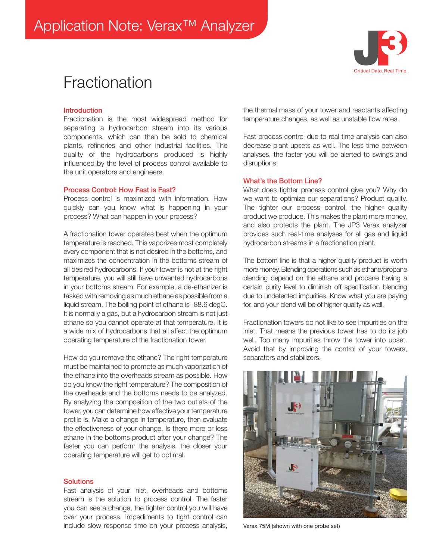# **Fractionation**



## **Introduction**

Fractionation is the most widespread method for separating a hydrocarbon stream into its various components, which can then be sold to chemical plants, refineries and other industrial facilities. The quality of the hydrocarbons produced is highly influenced by the level of process control available to the unit operators and engineers.

#### Process Control: How Fast is Fast?

Process control is maximized with information. How quickly can you know what is happening in your process? What can happen in your process?

A fractionation tower operates best when the optimum temperature is reached. This vaporizes most completely every component that is not desired in the bottoms, and maximizes the concentration in the bottoms stream of all desired hydrocarbons. If your tower is not at the right temperature, you will still have unwanted hydrocarbons in your bottoms stream. For example, a de-ethanizer is tasked with removing as much ethane as possible from a liquid stream. The boiling point of ethane is -88.6 degC. It is normally a gas, but a hydrocarbon stream is not just ethane so you cannot operate at that temperature. It is a wide mix of hydrocarbons that all affect the optimum operating temperature of the fractionation tower.

How do you remove the ethane? The right temperature must be maintained to promote as much vaporization of the ethane into the overheads stream as possible. How do you know the right temperature? The composition of the overheads and the bottoms needs to be analyzed. By analyzing the composition of the two outlets of the tower, you can determine how effective your temperature profile is. Make a change in temperature, then evaluate the effectiveness of your change. Is there more or less ethane in the bottoms product after your change? The faster you can perform the analysis, the closer your operating temperature will get to optimal.

#### **Solutions**

Fast analysis of your inlet, overheads and bottoms stream is the solution to process control. The faster you can see a change, the tighter control you will have over your process. Impediments to tight control can include slow response time on your process analysis,

the thermal mass of your tower and reactants affecting temperature changes, as well as unstable flow rates.

Fast process control due to real time analysis can also decrease plant upsets as well. The less time between analyses, the faster you will be alerted to swings and disruptions.

#### What's the Bottom Line?

What does tighter process control give you? Why do we want to optimize our separations? Product quality. The tighter our process control, the higher quality product we produce. This makes the plant more money, and also protects the plant. The JP3 Verax analyzer provides such real-time analyses for all gas and liquid hydrocarbon streams in a fractionation plant.

The bottom line is that a higher quality product is worth more money. Blending operations such as ethane/propane blending depend on the ethane and propane having a certain purity level to diminish off specification blending due to undetected impurities. Know what you are paying for, and your blend will be of higher quality as well.

Fractionation towers do not like to see impurities on the inlet. That means the previous tower has to do its job well. Too many impurities throw the tower into upset. Avoid that by improving the control of your towers, separators and stabilizers.



Verax 75M (shown with one probe set)